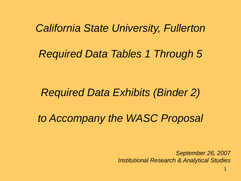*California State University, Fullerton*

# *Required Data Tables 1 Through 5*

# *Required Data Exhibits (Binder 2)*

*to Accompany the WASC Proposal*

*September 26, 2007 Institutional Research & Analytical Studies*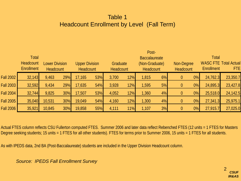### Table 1 Headcount Enrollment by Level (Fall Term)

|                  | <b>Total</b><br>Headcount<br><b>Enrollment</b> | <b>Lower Division</b><br>Headcount |     |        | Post-<br><b>Baccalaureate</b><br><b>Upper Division</b><br>Graduate<br>(Non-Graduate)<br>Non-Degree<br>Headcount<br><b>Headcount</b><br><b>Headcount</b><br><b>Headcount</b> |       |     |       |    |          |       |          | <b>Total</b><br><b>WASC FTE Total Actual</b><br><b>FTE</b><br><b>Enrollment</b> |  |  |
|------------------|------------------------------------------------|------------------------------------|-----|--------|-----------------------------------------------------------------------------------------------------------------------------------------------------------------------------|-------|-----|-------|----|----------|-------|----------|---------------------------------------------------------------------------------|--|--|
|                  |                                                |                                    |     |        |                                                                                                                                                                             |       |     |       |    |          |       |          |                                                                                 |  |  |
| Fall 2002        | 32,143                                         | 9,463                              | 29% | 17,165 | 53%                                                                                                                                                                         | 3,700 | 12% | 1,815 | 6% | $\theta$ | $0\%$ | 24,762.3 | 23,350.7                                                                        |  |  |
| Fall 2003        | 32,592                                         | 9,434                              | 29% | 17,635 | 54%                                                                                                                                                                         | 3,928 | 12% | 1,595 | 5% | $\theta$ | $0\%$ | 24,895.3 | 23,427.8                                                                        |  |  |
| Fall 2004        | 32,744                                         | 9,825                              | 30% | 17,507 | 53%                                                                                                                                                                         | 4,052 | 12% | 1,360 | 4% | $\theta$ | $0\%$ | 25,518.0 | 24,142.5                                                                        |  |  |
| Fall 2005        | 35,040                                         | 10,531                             | 30% | 19,049 | 54%                                                                                                                                                                         | 4,160 | 12% | 1,300 | 4% | $\theta$ | $0\%$ | 27,341.3 | 25,975.1                                                                        |  |  |
| <b>Fall 2006</b> | 35,921                                         | 10,845                             | 30% | 19,858 | 55%                                                                                                                                                                         | 4,111 | 11% | 1,107 | 3% | $\theta$ | $0\%$ | 27,915.7 | 27,025.0                                                                        |  |  |

Actual FTES column reflects CSU Fullerton computed FTES. Summer 2006 and later data reflect Rebenched FTES (12 units = 1 FTES for Masters Degree seeking students; 15 units = 1 FTES for all other students). FTES for terms prior to Summer 2006, 15 units = 1 FTES for all students.

As with IPEDS data, 2nd BA (Post-Baccalaureate) students are included in the Upper Division Headcount column.

*Source: IPEDS Fall Enrollment Survey*

2 *CSUF IR&AS*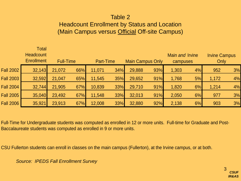#### Table 2

#### Headcount Enrollment by Status and Location (Main Campus versus Official Off-site Campus)

|                  | <b>Total</b><br><b>Headcount</b><br><b>Enrollment</b> | <b>Full-Time</b> |     | Part-Time |     | <b>Main Campus Only</b> |     | Main and Irvine<br>campuses |    | <b>Irvine Campus</b><br>Only |    |
|------------------|-------------------------------------------------------|------------------|-----|-----------|-----|-------------------------|-----|-----------------------------|----|------------------------------|----|
| <b>Fall 2002</b> | 32,143                                                | 21,072           | 66% | 11,071    | 34% | 29,888                  | 93% | 1,303                       | 4% | 952                          | 3% |
| <b>Fall 2003</b> | 32,592                                                | 21,047           | 65% | 11,545    | 35% | 29,652                  | 91% | 1,768                       | 5% | 1,172                        | 4% |
| <b>Fall 2004</b> | 32,744                                                | 21,905           | 67% | 10,839    | 33% | 29,710                  | 91% | 1,820                       | 6% | 1,214                        | 4% |
| <b>Fall 2005</b> | 35,040                                                | 23,492           | 67% | 11,548    | 33% | 32,013                  | 91% | 2,050                       | 6% | 977                          | 3% |
| <b>Fall 2006</b> | 35,921                                                | 23,913           | 67% | 12,008    | 33% | 32,880                  | 92% | 2,138                       | 6% | 903                          | 3% |

Full-Time for Undergraduate students was computed as enrolled in 12 or more units. Full-time for Graduate and Post-Baccalaureate students was computed as enrolled in 9 or more units.

CSU Fullerton students can enroll in classes on the main campus (Fullerton), at the Irvine campus, or at both.

*Source: IPEDS Fall Enrollment Survey*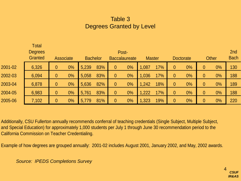### Table 3 Degrees Granted by Level

|         | <b>Total</b><br><b>Degrees</b><br><b>Granted</b> |                | Associate | <b>Bachelor</b> |     |                | Post-<br><b>Baccalaureate</b> | <b>Master</b> |     |              | <b>Doctorate</b> |                | <b>Other</b> | 2 <sub>nd</sub><br><b>Bach</b> |
|---------|--------------------------------------------------|----------------|-----------|-----------------|-----|----------------|-------------------------------|---------------|-----|--------------|------------------|----------------|--------------|--------------------------------|
| 2001-02 | 6,326                                            | $\overline{0}$ | $0\%$     | 5,239           | 83% | $\overline{0}$ | $0\%$                         | 1,087         | 17% | $\theta$     | $0\%$            | 0              | $0\%$        | 130                            |
| 2002-03 | 6,094                                            | $\mathbf{0}$   | $0\%$     | 5,058           | 83% | $\overline{0}$ | $0\%$                         | 1,036         | 17% | $\theta$     | $0\%$            | $\theta$       | $0\%$        | 188                            |
| 2003-04 | 6,878                                            | $\theta$       | $0\%$     | 5,636           | 82% | $\overline{0}$ | $0\%$                         | 1,242         | 18% | $\theta$     | $0\%$            | $\overline{0}$ | $0\%$        | 189                            |
| 2004-05 | 6,983                                            | $\theta$       | $0\%$     | 5,761           | 83% | $\overline{0}$ | $0\%$                         | .222          | 17% | $\mathbf{0}$ | $0\%$            | 0              | $0\%$        | 188                            |
| 2005-06 | 7,102                                            | $\overline{0}$ | $0\%$     | 5,779           | 81% | $\overline{0}$ | $0\%$                         | 1,323         | 19% | $\theta$     | $0\%$            | $\overline{0}$ | $0\%$        | 220                            |

Additionally, CSU Fullerton annually recommends conferral of teaching credentials (Single Subject, Multiple Subject, and Special Education) for approximately 1,000 students per July 1 through June 30 recommendation period to the California Commission on Teacher Credentialing.

Example of how degrees are grouped annually: 2001-02 includes August 2001, January 2002, and May, 2002 awards.

*Source: IPEDS Completions Survey*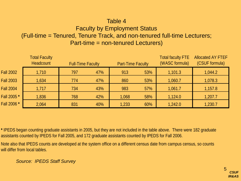### Table 4

## Faculty by Employment Status

## (Full-time = Tenured, Tenure Track, and non-tenured full-time Lecturers;

#### Part-time = non-tenured Lecturers)

|                  | <b>Total Faculty</b><br><b>Headcount</b> | <b>Full-Time Faculty</b> |     | <b>Part-Time Faculty</b> |     | <b>Total faculty FTE</b><br>(WASC formula) | <b>Allocated AY FTEF</b><br>(CSUF formula) |  |
|------------------|------------------------------------------|--------------------------|-----|--------------------------|-----|--------------------------------------------|--------------------------------------------|--|
| <b>Fall 2002</b> | 1,710                                    | 797                      | 47% | 913                      | 53% | 1,101.3                                    | 1,044.2                                    |  |
| <b>Fall 2003</b> | 1,634                                    | 774                      | 47% | 860                      | 53% | 1,060.7                                    | 1,078.3                                    |  |
| <b>Fall 2004</b> | 1,717                                    | 734                      | 43% | 983                      | 57% | 1,061.7                                    | 1,157.8                                    |  |
| Fall 2005 *      | 1,836                                    | 768                      | 42% | 1,068                    | 58% | 1,124.0                                    | 1,207.7                                    |  |
| Fall 2006 *      | 2,064                                    | 831                      | 40% | 1,233                    | 60% | 1,242.0                                    | 1,230.7                                    |  |

**\*** IPEDS began counting graduate assistants in 2005, but they are not included in the table above. There were 182 graduate assistants counted by IPEDS for Fall 2005, and 172 graduate assistants counted by IPEDS for Fall 2006.

will differ from local tables. Note also that IPEDS counts are developed at the system office on a different census date from campus census, so counts

*Source: IPEDS Staff Survey*